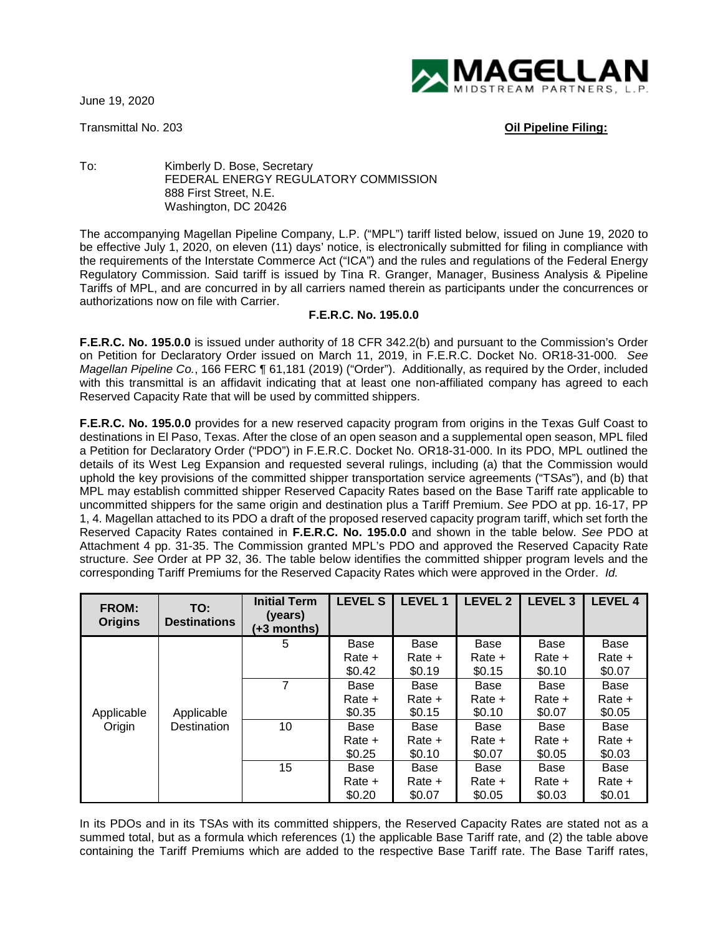June 19, 2020

Transmittal No. 203 **Oil Pipeline Filing:**



To: Kimberly D. Bose, Secretary FEDERAL ENERGY REGULATORY COMMISSION 888 First Street, N.E. Washington, DC 20426

The accompanying Magellan Pipeline Company, L.P. ("MPL") tariff listed below, issued on June 19, 2020 to be effective July 1, 2020, on eleven (11) days' notice, is electronically submitted for filing in compliance with the requirements of the Interstate Commerce Act ("ICA") and the rules and regulations of the Federal Energy Regulatory Commission. Said tariff is issued by Tina R. Granger, Manager, Business Analysis & Pipeline Tariffs of MPL, and are concurred in by all carriers named therein as participants under the concurrences or authorizations now on file with Carrier.

## **F.E.R.C. No. 195.0.0**

**F.E.R.C. No. 195.0.0** is issued under authority of 18 CFR 342.2(b) and pursuant to the Commission's Order on Petition for Declaratory Order issued on March 11, 2019, in F.E.R.C. Docket No. OR18-31-000. *See Magellan Pipeline Co.*, 166 FERC ¶ 61,181 (2019) ("Order"). Additionally, as required by the Order, included with this transmittal is an affidavit indicating that at least one non-affiliated company has agreed to each Reserved Capacity Rate that will be used by committed shippers.

**F.E.R.C. No. 195.0.0** provides for a new reserved capacity program from origins in the Texas Gulf Coast to destinations in El Paso, Texas. After the close of an open season and a supplemental open season, MPL filed a Petition for Declaratory Order ("PDO") in F.E.R.C. Docket No. OR18-31-000. In its PDO, MPL outlined the details of its West Leg Expansion and requested several rulings, including (a) that the Commission would uphold the key provisions of the committed shipper transportation service agreements ("TSAs"), and (b) that MPL may establish committed shipper Reserved Capacity Rates based on the Base Tariff rate applicable to uncommitted shippers for the same origin and destination plus a Tariff Premium. *See* PDO at pp. 16-17, PP 1, 4. Magellan attached to its PDO a draft of the proposed reserved capacity program tariff, which set forth the Reserved Capacity Rates contained in **F.E.R.C. No. 195.0.0** and shown in the table below. *See* PDO at Attachment 4 pp. 31-35. The Commission granted MPL's PDO and approved the Reserved Capacity Rate structure. *See* Order at PP 32, 36. The table below identifies the committed shipper program levels and the corresponding Tariff Premiums for the Reserved Capacity Rates which were approved in the Order. *Id.*

| <b>FROM:</b><br><b>Origins</b> | TO:<br><b>Destinations</b> | <b>Initial Term</b><br>(years)<br>(+3 months) | <b>LEVEL S</b> | <b>LEVEL1</b> | <b>LEVEL 2</b> | LEVEL <sub>3</sub> | <b>LEVEL 4</b> |
|--------------------------------|----------------------------|-----------------------------------------------|----------------|---------------|----------------|--------------------|----------------|
| Applicable<br>Origin           | Applicable<br>Destination  | 5                                             | Base           | Base          | Base           | Base               | Base           |
|                                |                            |                                               | Rate +         | Rate +        | Rate +         | Rate +             | Rate +         |
|                                |                            |                                               | \$0.42         | \$0.19        | \$0.15         | \$0.10             | \$0.07         |
|                                |                            | $\overline{7}$                                | Base           | Base          | Base           | Base               | Base           |
|                                |                            |                                               | Rate +         | Rate +        | $Rate +$       | Rate +             | Rate +         |
|                                |                            |                                               | \$0.35         | \$0.15        | \$0.10         | \$0.07             | \$0.05         |
|                                |                            | 10                                            | Base           | Base          | Base           | Base               | Base           |
|                                |                            |                                               | Rate +         | Rate +        | $Rate +$       | Rate +             | Rate +         |
|                                |                            |                                               | \$0.25         | \$0.10        | \$0.07         | \$0.05             | \$0.03         |
|                                |                            | 15                                            | Base           | Base          | Base           | Base               | Base           |
|                                |                            |                                               | Rate +         | Rate +        | Rate +         | Rate +             | Rate +         |
|                                |                            |                                               | \$0.20         | \$0.07        | \$0.05         | \$0.03             | \$0.01         |

In its PDOs and in its TSAs with its committed shippers, the Reserved Capacity Rates are stated not as a summed total, but as a formula which references (1) the applicable Base Tariff rate, and (2) the table above containing the Tariff Premiums which are added to the respective Base Tariff rate. The Base Tariff rates,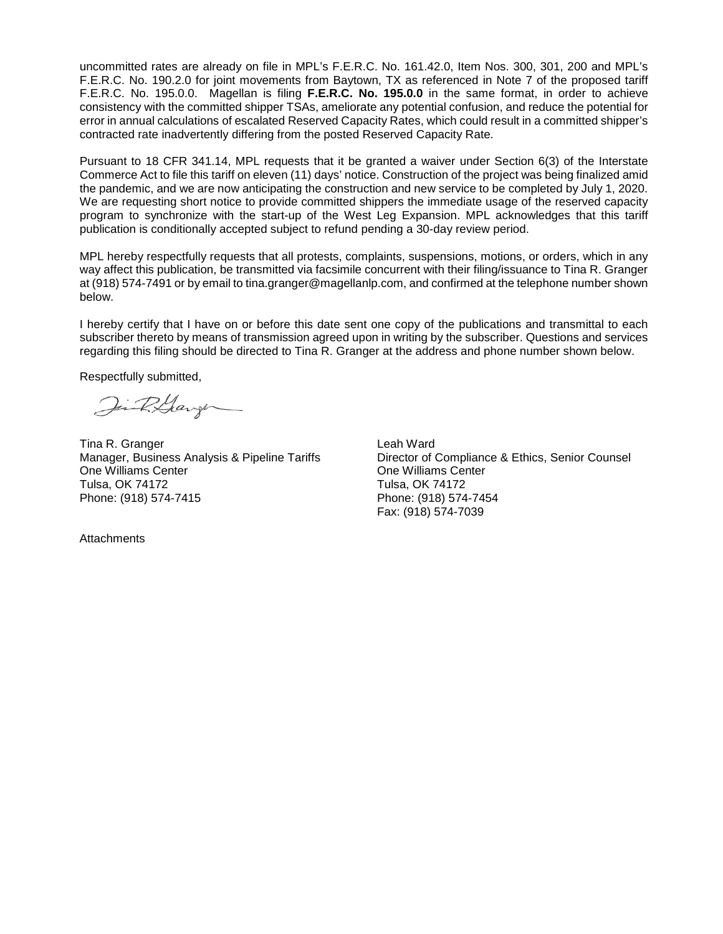uncommitted rates are already on file in MPL's F.E.R.C. No. 161.42.0, Item Nos. 300, 301, 200 and MPL's F.E.R.C. No. 190.2.0 for joint movements from Baytown, TX as referenced in Note 7 of the proposed tariff F.E.R.C. No. 195.0.0. Magellan is filing **F.E.R.C. No. 195.0.0** in the same format, in order to achieve consistency with the committed shipper TSAs, ameliorate any potential confusion, and reduce the potential for error in annual calculations of escalated Reserved Capacity Rates, which could result in a committed shipper's contracted rate inadvertently differing from the posted Reserved Capacity Rate.

Pursuant to 18 CFR 341.14, MPL requests that it be granted a waiver under Section 6(3) of the Interstate Commerce Act to file this tariff on eleven (11) days' notice. Construction of the project was being finalized amid the pandemic, and we are now anticipating the construction and new service to be completed by July 1, 2020. We are requesting short notice to provide committed shippers the immediate usage of the reserved capacity program to synchronize with the start-up of the West Leg Expansion. MPL acknowledges that this tariff publication is conditionally accepted subject to refund pending a 30-day review period.

MPL hereby respectfully requests that all protests, complaints, suspensions, motions, or orders, which in any way affect this publication, be transmitted via facsimile concurrent with their filing/issuance to Tina R. Granger at (918) 574-7491 or by email to tina.granger@magellanlp.com, and confirmed at the telephone number shown below.

I hereby certify that I have on or before this date sent one copy of the publications and transmittal to each subscriber thereto by means of transmission agreed upon in writing by the subscriber. Questions and services regarding this filing should be directed to Tina R. Granger at the address and phone number shown below.

Respectfully submitted,

Jin R.Garge

Tina R. Granger **Leah Ward** One Williams Center One Williams Center Tulsa, OK 74172 Phone: (918) 574-7415 Phone: (918) 574-7454

Manager, Business Analysis & Pipeline Tariffs Director of Compliance & Ethics, Senior Counsel Fax: (918) 574-7039

**Attachments**